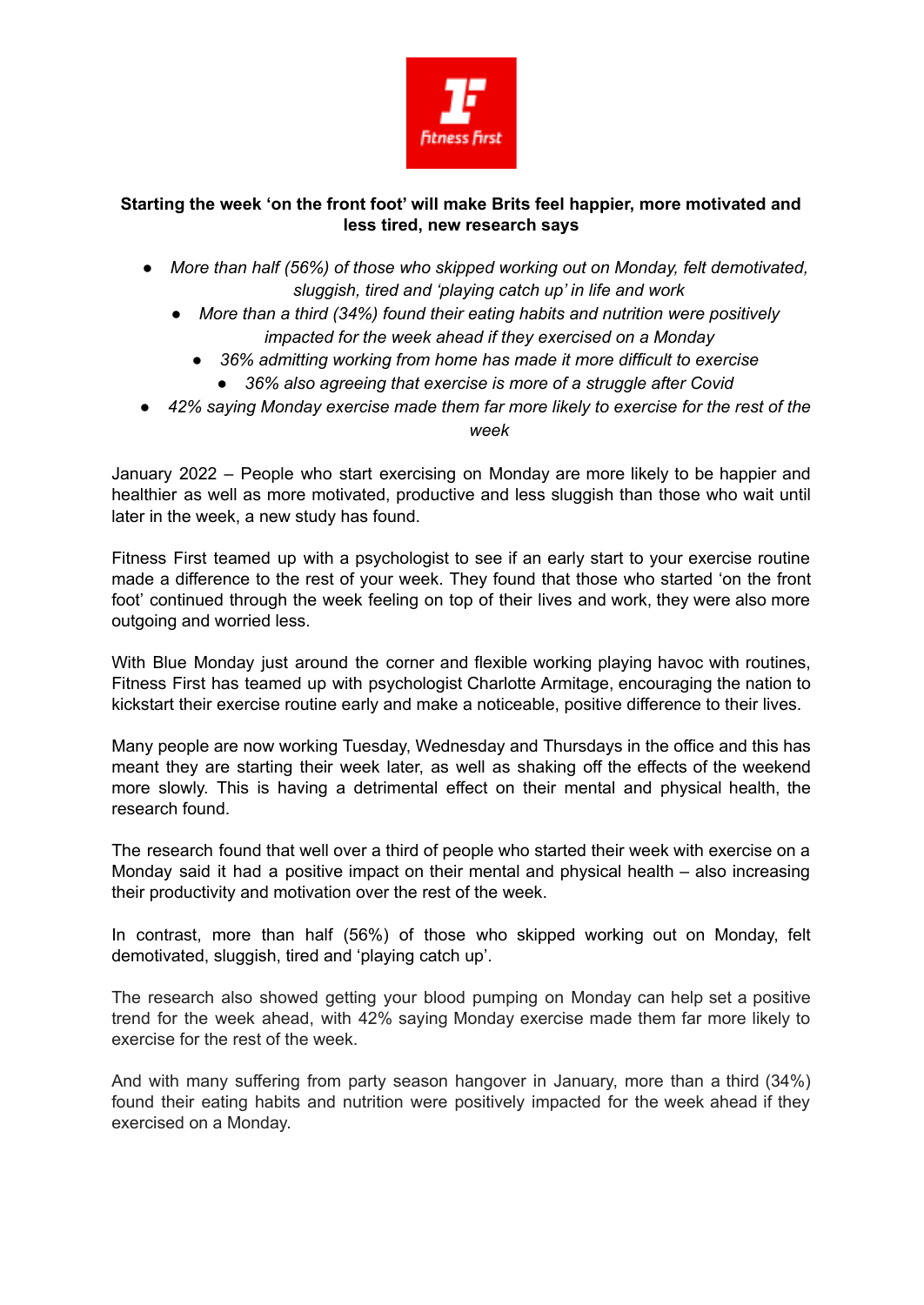

## **Starting the week 'on the front foot' will make Brits feel happier, more motivated and less tired, new research says**

- *● More than half (56%) of those who skipped working out on Monday, felt demotivated, sluggish, tired and 'playing catch up' in life and work*
	- *● More than a third (34%) found their eating habits and nutrition were positively impacted for the week ahead if they exercised on a Monday*
		- *● 36% admitting working from home has made it more difficult to exercise*
			- *● 36% also agreeing that exercise is more of a struggle after Covid*
- *● 42% saying Monday exercise made them far more likely to exercise for the rest of the week*

January 2022 – People who start exercising on Monday are more likely to be happier and healthier as well as more motivated, productive and less sluggish than those who wait until later in the week, a new study has found.

Fitness First teamed up with a psychologist to see if an early start to your exercise routine made a difference to the rest of your week. They found that those who started 'on the front foot' continued through the week feeling on top of their lives and work, they were also more outgoing and worried less.

With Blue Monday just around the corner and flexible working playing havoc with routines, Fitness First has teamed up with psychologist Charlotte Armitage, encouraging the nation to kickstart their exercise routine early and make a noticeable, positive difference to their lives.

Many people are now working Tuesday, Wednesday and Thursdays in the office and this has meant they are starting their week later, as well as shaking off the effects of the weekend more slowly. This is having a detrimental effect on their mental and physical health, the research found.

The research found that well over a third of people who started their week with exercise on a Monday said it had a positive impact on their mental and physical health – also increasing their productivity and motivation over the rest of the week.

In contrast, more than half (56%) of those who skipped working out on Monday, felt demotivated, sluggish, tired and 'playing catch up'.

The research also showed getting your blood pumping on Monday can help set a positive trend for the week ahead, with 42% saying Monday exercise made them far more likely to exercise for the rest of the week.

And with many suffering from party season hangover in January, more than a third (34%) found their eating habits and nutrition were positively impacted for the week ahead if they exercised on a Monday.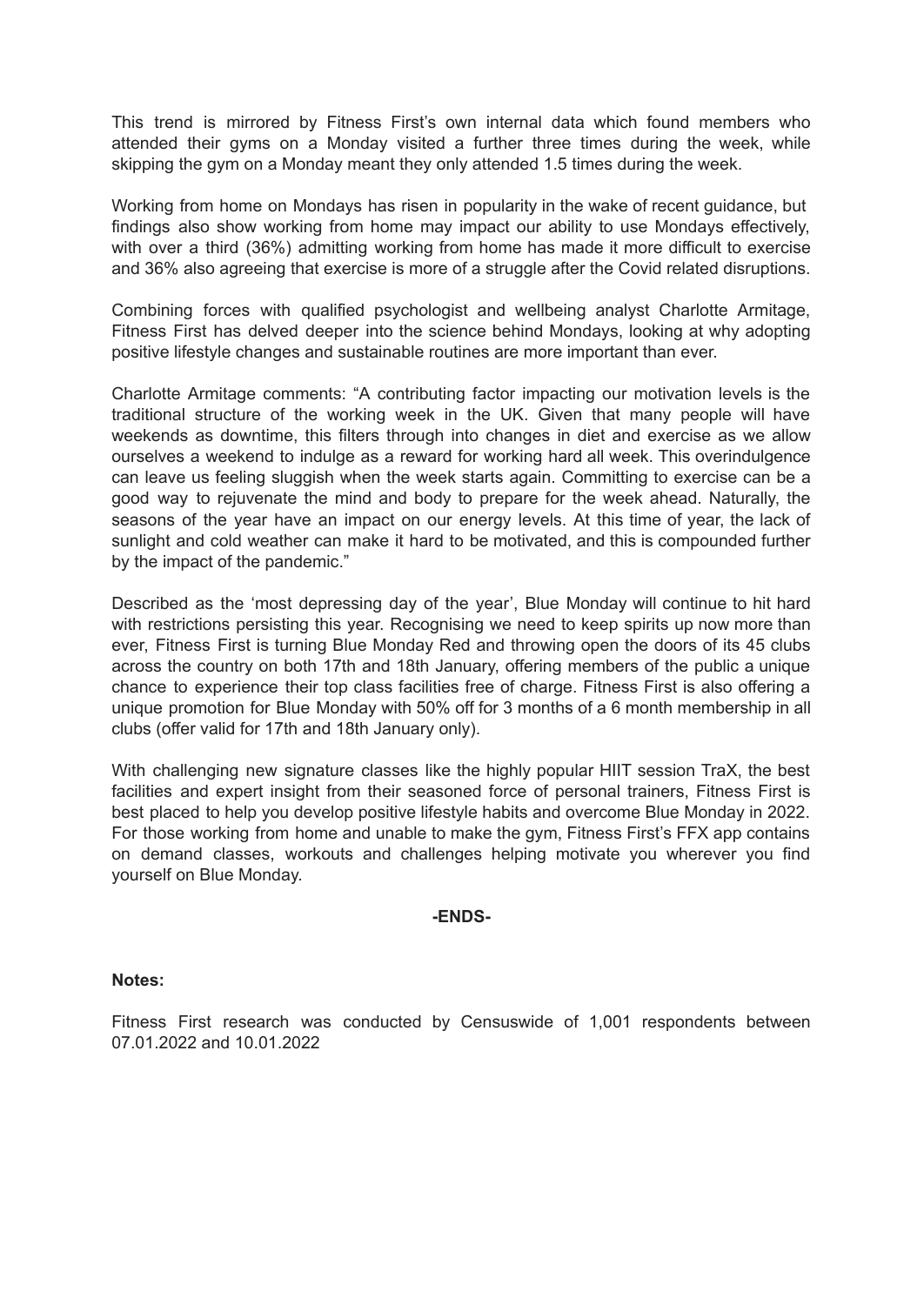This trend is mirrored by Fitness First's own internal data which found members who attended their gyms on a Monday visited a further three times during the week, while skipping the gym on a Monday meant they only attended 1.5 times during the week.

Working from home on Mondays has risen in popularity in the wake of recent guidance, but findings also show working from home may impact our ability to use Mondays effectively, with over a third (36%) admitting working from home has made it more difficult to exercise and 36% also agreeing that exercise is more of a struggle after the Covid related disruptions.

Combining forces with qualified psychologist and wellbeing analyst Charlotte Armitage, Fitness First has delved deeper into the science behind Mondays, looking at why adopting positive lifestyle changes and sustainable routines are more important than ever.

Charlotte Armitage comments: "A contributing factor impacting our motivation levels is the traditional structure of the working week in the UK. Given that many people will have weekends as downtime, this filters through into changes in diet and exercise as we allow ourselves a weekend to indulge as a reward for working hard all week. This overindulgence can leave us feeling sluggish when the week starts again. Committing to exercise can be a good way to rejuvenate the mind and body to prepare for the week ahead. Naturally, the seasons of the year have an impact on our energy levels. At this time of year, the lack of sunlight and cold weather can make it hard to be motivated, and this is compounded further by the impact of the pandemic."

Described as the 'most depressing day of the year', Blue Monday will continue to hit hard with restrictions persisting this year. Recognising we need to keep spirits up now more than ever, Fitness First is turning Blue Monday Red and throwing open the doors of its 45 clubs across the country on both 17th and 18th January, offering members of the public a unique chance to experience their top class facilities free of charge. Fitness First is also offering a unique promotion for Blue Monday with 50% off for 3 months of a 6 month membership in all clubs (offer valid for 17th and 18th January only).

With challenging new signature classes like the highly popular HIIT session TraX, the best facilities and expert insight from their seasoned force of personal trainers. Fitness First is best placed to help you develop positive lifestyle habits and overcome Blue Monday in 2022. For those working from home and unable to make the gym, Fitness First's FFX app contains on demand classes, workouts and challenges helping motivate you wherever you find yourself on Blue Monday.

## **-ENDS-**

## **Notes:**

Fitness First research was conducted by Censuswide of 1,001 respondents between 07.01.2022 and 10.01.2022